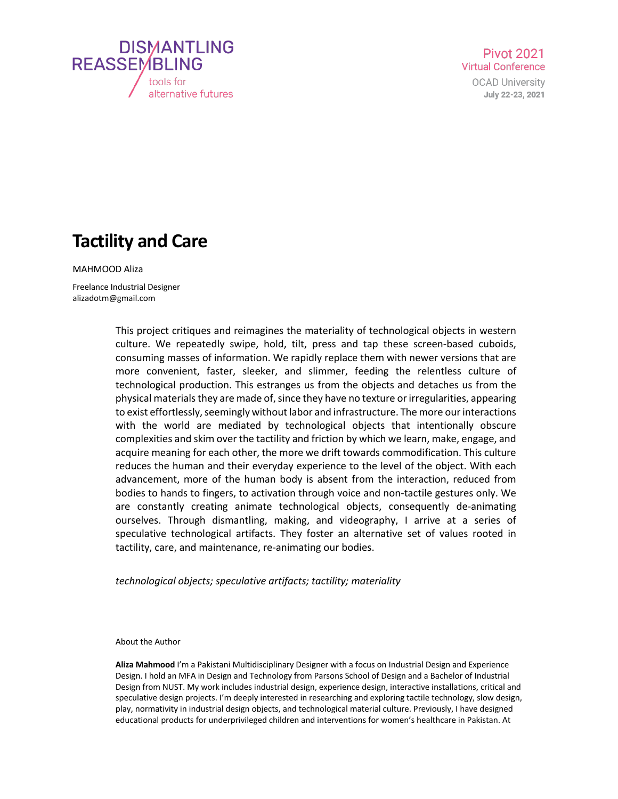

**Pivot 2021 Virtual Conference** 

> **OCAD University** July 22-23, 2021

## **Tactility and Care**

MAHMOOD Aliza

Freelance Industrial Designer alizadotm@gmail.com

> This project critiques and reimagines the materiality of technological objects in western culture. We repeatedly swipe, hold, tilt, press and tap these screen-based cuboids, consuming masses of information. We rapidly replace them with newer versions that are more convenient, faster, sleeker, and slimmer, feeding the relentless culture of technological production. This estranges us from the objects and detaches us from the physical materials they are made of, since they have no texture or irregularities, appearing to exist effortlessly, seemingly without labor and infrastructure. The more our interactions with the world are mediated by technological objects that intentionally obscure complexities and skim over the tactility and friction by which we learn, make, engage, and acquire meaning for each other, the more we drift towards commodification. This culture reduces the human and their everyday experience to the level of the object. With each advancement, more of the human body is absent from the interaction, reduced from bodies to hands to fingers, to activation through voice and non-tactile gestures only. We are constantly creating animate technological objects, consequently de-animating ourselves. Through dismantling, making, and videography, I arrive at a series of speculative technological artifacts. They foster an alternative set of values rooted in tactility, care, and maintenance, re-animating our bodies.

*technological objects; speculative artifacts; tactility; materiality* 

About the Author

**Aliza Mahmood** I'm a Pakistani Multidisciplinary Designer with a focus on Industrial Design and Experience Design. I hold an MFA in Design and Technology from Parsons School of Design and a Bachelor of Industrial Design from NUST. My work includes industrial design, experience design, interactive installations, critical and speculative design projects. I'm deeply interested in researching and exploring tactile technology, slow design, play, normativity in industrial design objects, and technological material culture. Previously, I have designed educational products for underprivileged children and interventions for women's healthcare in Pakistan. At